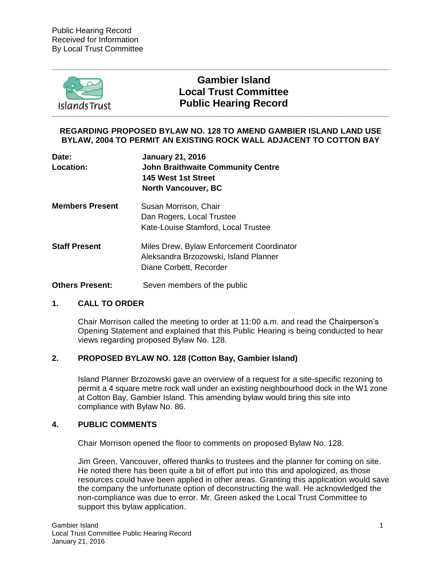

# **Gambier Island Local Trust Committee Public Hearing Record**

#### **REGARDING PROPOSED BYLAW NO. 128 TO AMEND GAMBIER ISLAND LAND USE BYLAW, 2004 TO PERMIT AN EXISTING ROCK WALL ADJACENT TO COTTON BAY**

**\_\_\_\_\_\_\_\_\_\_\_\_\_\_\_\_\_\_\_\_\_\_\_\_\_\_\_\_\_\_\_\_\_\_\_\_\_\_\_\_\_\_\_\_\_\_\_\_\_\_\_\_\_\_\_\_\_\_\_\_\_\_\_\_\_\_\_\_\_\_\_\_\_\_\_\_\_\_\_\_\_\_\_\_**

| Date:<br>Location:     | <b>January 21, 2016</b><br><b>John Braithwaite Community Centre</b><br>145 West 1st Street<br><b>North Vancouver, BC</b> |
|------------------------|--------------------------------------------------------------------------------------------------------------------------|
| <b>Members Present</b> | Susan Morrison, Chair<br>Dan Rogers, Local Trustee<br>Kate-Louise Stamford, Local Trustee                                |
| <b>Staff Present</b>   | Miles Drew, Bylaw Enforcement Coordinator<br>Aleksandra Brzozowski, Island Planner<br>Diane Corbett, Recorder            |
| <b>Others Present:</b> | Seven members of the public                                                                                              |

## **1. CALL TO ORDER**

Chair Morrison called the meeting to order at 11:00 a.m. and read the Chairperson's Opening Statement and explained that this Public Hearing is being conducted to hear views regarding proposed Bylaw No. 128.

#### **2. PROPOSED BYLAW NO. 128 (Cotton Bay, Gambier Island)**

Island Planner Brzozowski gave an overview of a request for a site-specific rezoning to permit a 4 square metre rock wall under an existing neighbourhood dock in the W1 zone at Cotton Bay, Gambier Island. This amending bylaw would bring this site into compliance with Bylaw No. 86.

#### **4. PUBLIC COMMENTS**

Chair Morrison opened the floor to comments on proposed Bylaw No. 128.

Jim Green, Vancouver, offered thanks to trustees and the planner for coming on site. He noted there has been quite a bit of effort put into this and apologized, as those resources could have been applied in other areas. Granting this application would save the company the unfortunate option of deconstructing the wall. He acknowledged the non-compliance was due to error. Mr. Green asked the Local Trust Committee to support this bylaw application.